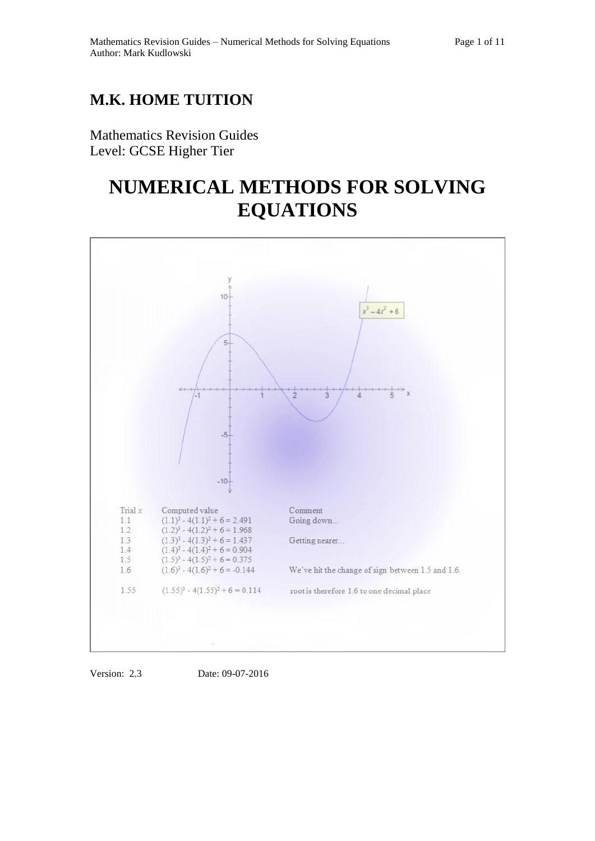# **M.K. HOME TUITION**

Mathematics Revision Guides Level: GCSE Higher Tier

# **NUMERICAL METHODS FOR SOLVING EQUATIONS**



Version: 2.3 Date: 09-07-2016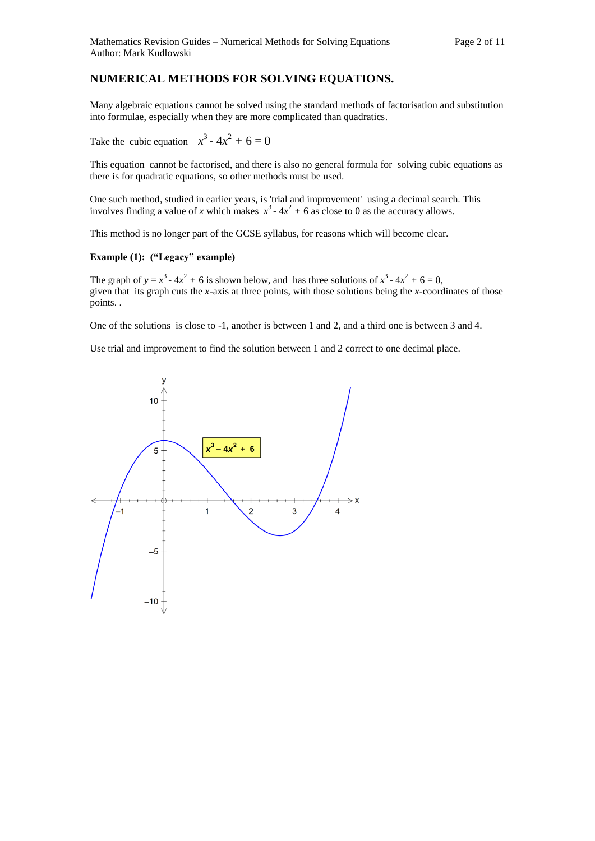## **NUMERICAL METHODS FOR SOLVING EQUATIONS.**

Many algebraic equations cannot be solved using the standard methods of factorisation and substitution into formulae, especially when they are more complicated than quadratics.

Take the cubic equation  $x^3 - 4x^2 + 6 = 0$ 

This equation cannot be factorised, and there is also no general formula for solving cubic equations as there is for quadratic equations, so other methods must be used.

One such method, studied in earlier years, is 'trial and improvement' using a decimal search. This involves finding a value of *x* which makes  $x^3 - 4x^2 + 6$  as close to 0 as the accuracy allows.

This method is no longer part of the GCSE syllabus, for reasons which will become clear.

### **Example (1): ("Legacy" example)**

The graph of  $y = x^3 - 4x^2 + 6$  is shown below, and has three solutions of  $x^3 - 4x^2 + 6 = 0$ , given that its graph cuts the *x-*axis at three points, with those solutions being the *x-*coordinates of those points. .

One of the solutions is close to -1, another is between 1 and 2, and a third one is between 3 and 4.

Use trial and improvement to find the solution between 1 and 2 correct to one decimal place.

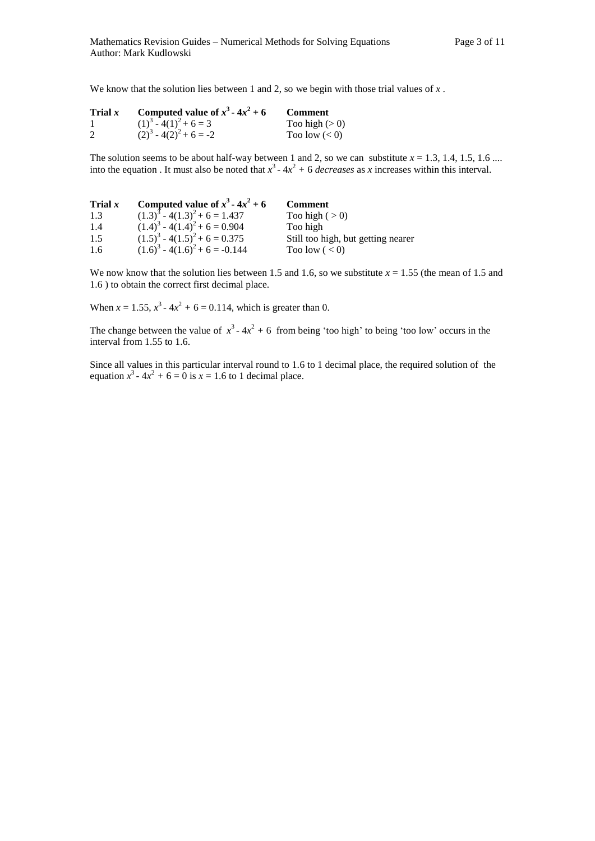We know that the solution lies between 1 and 2, so we begin with those trial values of x.

| Trial $x$ | Computed value of $x^3 - 4x^2 + 6$ | <b>Comment</b>  |
|-----------|------------------------------------|-----------------|
|           | $(1)^3 - 4(1)^2 + 6 = 3$           | Too high $(>0)$ |
| 2         | $(2)^3 - 4(2)^2 + 6 = -2$          | Too low $(< 0)$ |

The solution seems to be about half-way between 1 and 2, so we can substitute  $x = 1.3, 1.4, 1.5, 1.6 \ldots$ into the equation. It must also be noted that  $x^3 - 4x^2 + 6$  *decreases* as *x* increases within this interval.

| Trial $x$ | Computed value of $x^3$ - $4x^2$ + 6 | <b>Comment</b>                     |
|-----------|--------------------------------------|------------------------------------|
| 1.3       | $(1.3)^3 - 4(1.3)^2 + 6 = 1.437$     | Too high $(>0)$                    |
| 1.4       | $(1.4)^3 - 4(1.4)^2 + 6 = 0.904$     | Too high                           |
| 1.5       | $(1.5)^3 - 4(1.5)^2 + 6 = 0.375$     | Still too high, but getting nearer |
| 1.6       | $(1.6)^3 - 4(1.6)^2 + 6 = -0.144$    | Too low $(< 0)$                    |

We now know that the solution lies between 1.5 and 1.6, so we substitute  $x = 1.55$  (the mean of 1.5 and 1.6 ) to obtain the correct first decimal place.

When  $x = 1.55$ ,  $x^3 - 4x^2 + 6 = 0.114$ , which is greater than 0.

The change between the value of  $x^3 - 4x^2 + 6$  from being 'too high' to being 'too low' occurs in the interval from 1.55 to 1.6.

Since all values in this particular interval round to 1.6 to 1 decimal place, the required solution of the equation  $x^3 - 4x^2 + 6 = 0$  is  $x = 1.6$  to 1 decimal place.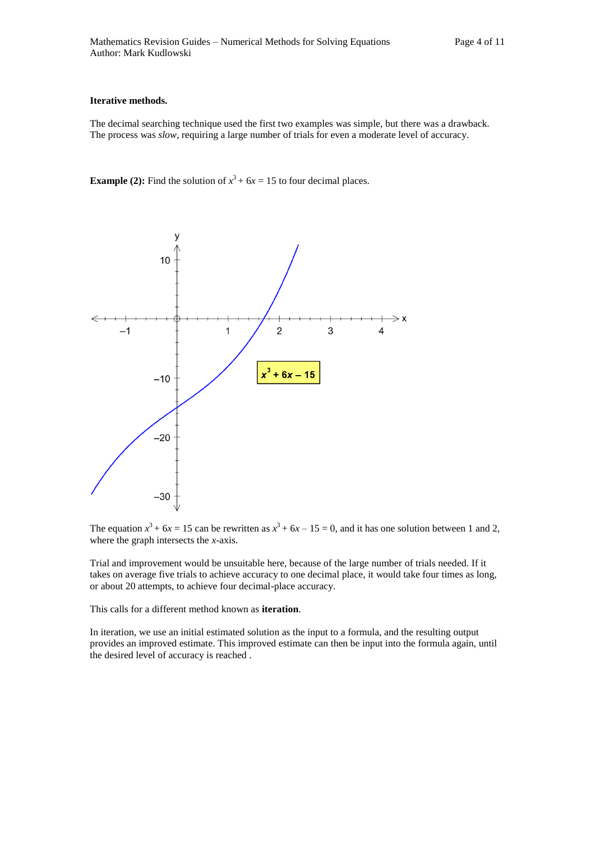#### **Iterative methods.**

The decimal searching technique used the first two examples was simple, but there was a drawback. The process was *slow*, requiring a large number of trials for even a moderate level of accuracy.

**Example (2):** Find the solution of  $x^3 + 6x = 15$  to four decimal places.



The equation  $x^3 + 6x = 15$  can be rewritten as  $x^3 + 6x - 15 = 0$ , and it has one solution between 1 and 2, where the graph intersects the *x*-axis.

Trial and improvement would be unsuitable here, because of the large number of trials needed. If it takes on average five trials to achieve accuracy to one decimal place, it would take four times as long, or about 20 attempts, to achieve four decimal-place accuracy.

This calls for a different method known as **iteration**.

In iteration, we use an initial estimated solution as the input to a formula, and the resulting output provides an improved estimate. This improved estimate can then be input into the formula again, until the desired level of accuracy is reached .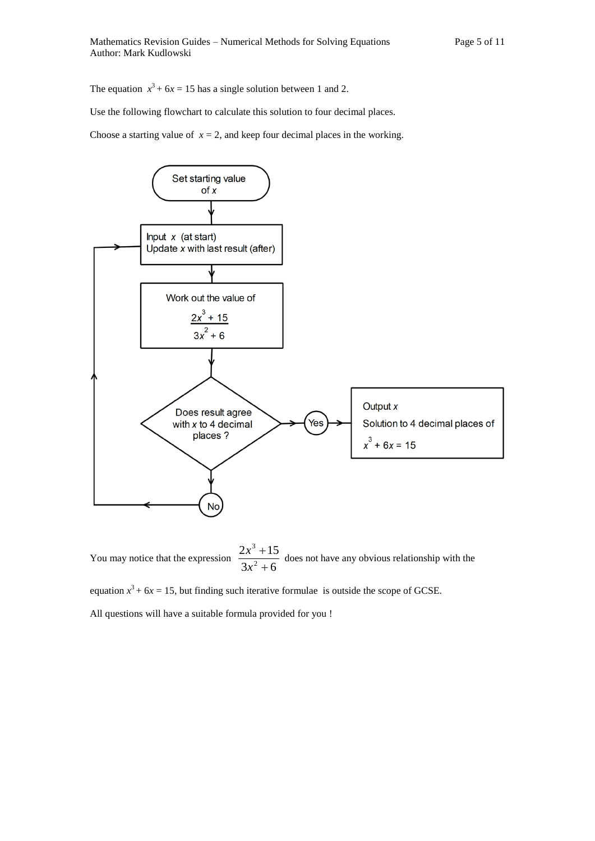The equation  $x^3 + 6x = 15$  has a single solution between 1 and 2.

Use the following flowchart to calculate this solution to four decimal places.

Choose a starting value of  $x = 2$ , and keep four decimal places in the working.



You may notice that the expression  $\frac{2x+2}{3x^2+6}$  $2x^3 + 15$ 2 3  $^{+}$  $^{+}$ *x*  $\frac{x^3+15}{x^2}$  does not have any obvious relationship with the

equation  $x^3 + 6x = 15$ , but finding such iterative formulae is outside the scope of GCSE.

All questions will have a suitable formula provided for you !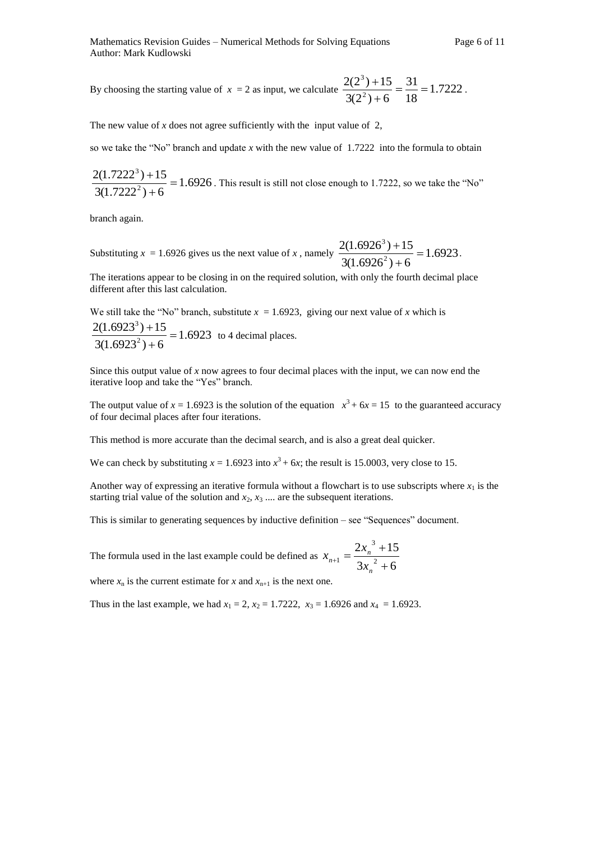By choosing the starting value of  $x = 2$  as input, we calculate  $\frac{2(2^2 + 12^2)}{2(2^2 + 12^2)} = \frac{31}{12} = 1.7222$ 18 31  $3(2^2) + 6$  $2(2^3) + 15$ 2 3  $=\frac{31}{10}$  $\overline{+}$  $\frac{+15}{-}$  =  $\frac{31}{10}$  = 1.7222.

The new value of  $x$  does not agree sufficiently with the input value of  $2$ ,

so we take the "No" branch and update *x* with the new value of 1.7222 into the formula to obtain

1.6926  $3(1.7222^2) + 6$  $2(1.7222^3) + 15$ 2 3  $=$  $\ddot{}$  $\frac{+15}{-1}$  = 1.6926. This result is still not close enough to 1.7222, so we take the "No"

branch again.

Substituting  $x = 1.6926$  gives us the next value of x, namely  $\frac{2(1.6926)^{113}}{2(1.6923)^{2}} = 1.6923$  $3(1.6926^2) + 6$  $2(1.6926^3) + 15$ 2 3  $=$  $\overline{+}$  $\frac{+15}{-}$  = 1.6923.

The iterations appear to be closing in on the required solution, with only the fourth decimal place different after this last calculation.

We still take the "No" branch, substitute  $x = 1.6923$ , giving our next value of x which is 1.6923  $3(1.6923^2) + 6$  $2(1.6923^3) + 15$ 2 3  $=$  $\ddot{}$  $\frac{+15}{-}$  = 1.6923 to 4 decimal places.

Since this output value of *x* now agrees to four decimal places with the input, we can now end the iterative loop and take the "Yes" branch.

The output value of  $x = 1.6923$  is the solution of the equation  $x^3 + 6x = 15$  to the guaranteed accuracy of four decimal places after four iterations.

This method is more accurate than the decimal search, and is also a great deal quicker.

We can check by substituting  $x = 1.6923$  into  $x^3 + 6x$ ; the result is 15.0003, very close to 15.

Another way of expressing an iterative formula without a flowchart is to use subscripts where  $x_1$  is the starting trial value of the solution and  $x_2, x_3, \ldots$  are the subsequent iterations.

This is similar to generating sequences by inductive definition – see "Sequences" document.

The formula used in the last example could be defined as  $3x_n^2 + 6$  $2x_n^3+15$ 2 3  $1^{-1}$  3x<sub>n</sub><sup>2</sup> +  $\overline{+}$  $n_{+1} =$ *n*  $\alpha_{n+1} = \frac{2x_n}{3x_n}$  $x_{n+1} = \frac{2x}{x}$ 

where  $x_n$  is the current estimate for *x* and  $x_{n+1}$  is the next one.

Thus in the last example, we had  $x_1 = 2$ ,  $x_2 = 1.7222$ ,  $x_3 = 1.6926$  and  $x_4 = 1.6923$ .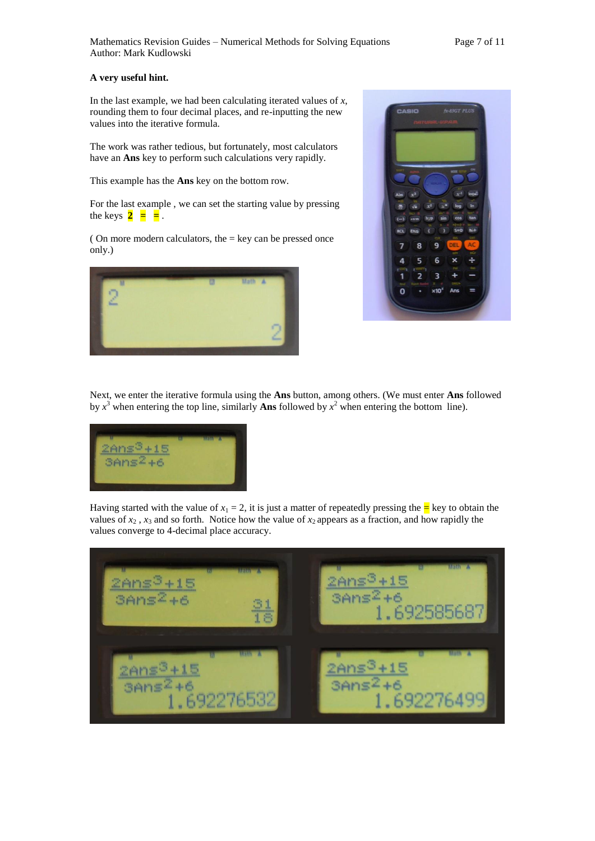#### **A very useful hint.**

In the last example, we had been calculating iterated values of *x*, rounding them to four decimal places, and re-inputting the new values into the iterative formula.

The work was rather tedious, but fortunately, most calculators have an **Ans** key to perform such calculations very rapidly.

This example has the **Ans** key on the bottom row.

For the last example , we can set the starting value by pressing the keys  $2 = 2$ .

( On more modern calculators, the  $=$  key can be pressed once only.)





Next, we enter the iterative formula using the **Ans** button, among others. (We must enter **Ans** followed by  $x^3$  when entering the top line, similarly **Ans** followed by  $x^2$  when entering the bottom line).



Having started with the value of  $x_1 = 2$ , it is just a matter of repeatedly pressing the  $\frac{1}{x}$  key to obtain the values of  $x_2$ ,  $x_3$  and so forth. Notice how the value of  $x_2$  appears as a fraction, and how rapidly the values converge to 4-decimal place accuracy.

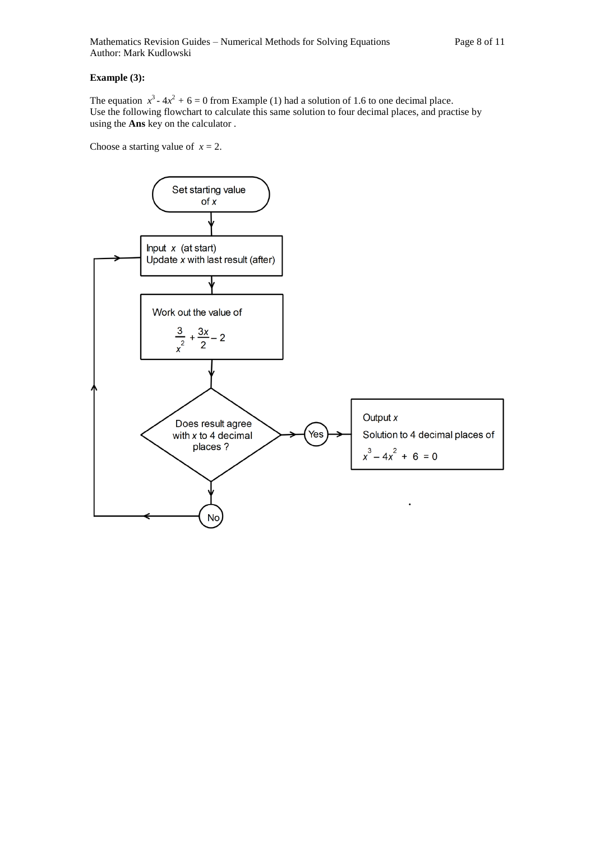### **Example (3):**

The equation  $x^3 - 4x^2 + 6 = 0$  from Example (1) had a solution of 1.6 to one decimal place. Use the following flowchart to calculate this same solution to four decimal places, and practise by using the **Ans** key on the calculator .

Choose a starting value of  $x = 2$ .

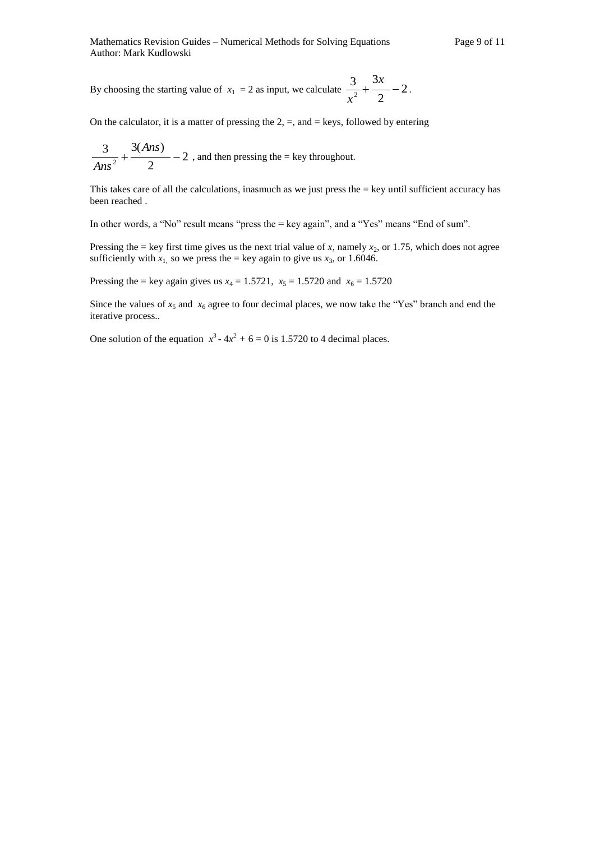By choosing the starting value of  $x_1 = 2$  as input, we calculate  $\frac{3}{2} + \frac{3}{2} - 2$ 2 3 3  $\frac{1}{2} + \frac{2\pi}{2}$ *x*  $\frac{c}{x^2}$  +  $\frac{c}{2}$  - 2.

On the calculator, it is a matter of pressing the  $2, =$ , and  $=$  keys, followed by entering

$$
\frac{3}{Ans^2} + \frac{3(Ans)}{2} - 2
$$
, and then pressing the = key throughout.

This takes care of all the calculations, inasmuch as we just press the = key until sufficient accuracy has been reached .

In other words, a "No" result means "press the = key again", and a "Yes" means "End of sum".

Pressing the = key first time gives us the next trial value of *x*, namely  $x_2$ , or 1.75, which does not agree sufficiently with  $x_1$  so we press the = key again to give us  $x_3$ , or 1.6046.

Pressing the = key again gives us  $x_4 = 1.5721$ ,  $x_5 = 1.5720$  and  $x_6 = 1.5720$ 

Since the values of  $x_5$  and  $x_6$  agree to four decimal places, we now take the "Yes" branch and end the iterative process..

One solution of the equation  $x^3 - 4x^2 + 6 = 0$  is 1.5720 to 4 decimal places.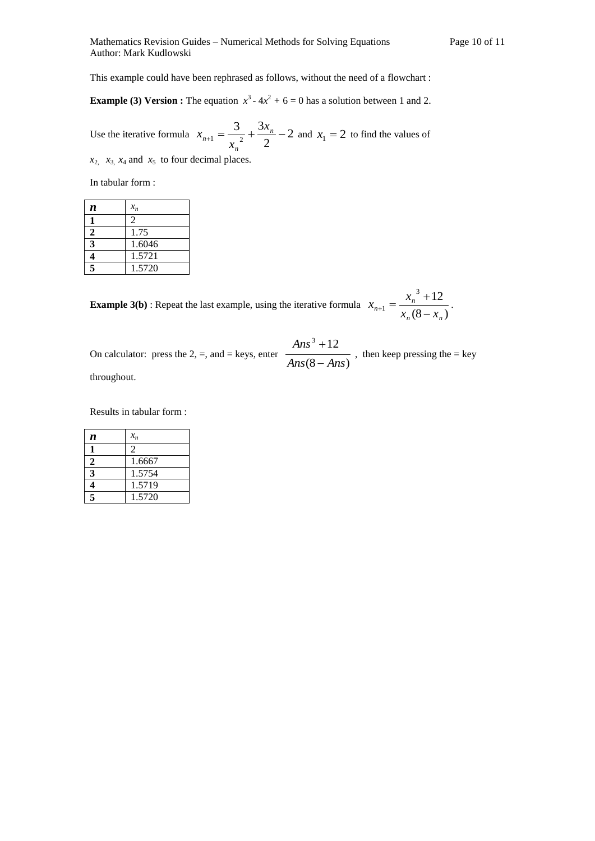This example could have been rephrased as follows, without the need of a flowchart :

**Example (3) Version :** The equation  $x^3 - 4x^2 + 6 = 0$  has a solution between 1 and 2.

Use the iterative formula  $x_{n+1} = \frac{3}{2} + \frac{3x_n}{2} - 2$ 2 3 3  $_{+1} = \frac{3}{n^2} + \frac{3\lambda_n}{2}$ *n n x x*  $x_{n+1} = \frac{3}{2} + \frac{3x_n}{2} - 2$  and  $x_1 = 2$  to find the values of

 $x_2$ ,  $x_3$ ,  $x_4$  and  $x_5$  to four decimal places.

In tabular form :

| n           | $x_n$  |
|-------------|--------|
|             | 2      |
| $\mathbf 2$ | 1.75   |
| 3           | 1.6046 |
|             | 1.5721 |
| 5           | 1.5720 |

**Example 3(b)**: Repeat the last example, using the iterative formula  $x_{n+1} = \frac{-\pi}{x_n(8-x_n)}$  $3 + 12$ 1  $n \times -\lambda_n$ *n*  $\overline{x_n(8-x)}$  $x_{n+1} = \frac{x}{x}$  $\overline{a}$  $^{+}$  $_{+1} = \frac{x_n + 12}{(0 - x)}$ .

On calculator: press the 2, =, and = keys, enter  $\frac{}{Ans(8 - Ans)}$  $3 + 12$ *Ans Ans Ans*  $\overline{a}$  $\overline{+}$ , then keep pressing the  $=$  key throughout.

Results in tabular form :

| n            | $x_n$          |
|--------------|----------------|
|              | $\overline{c}$ |
| $\mathbf{2}$ | 1.6667         |
| 3            | 1.5754         |
| 4            | 1.5719         |
| 5            | 1.5720         |